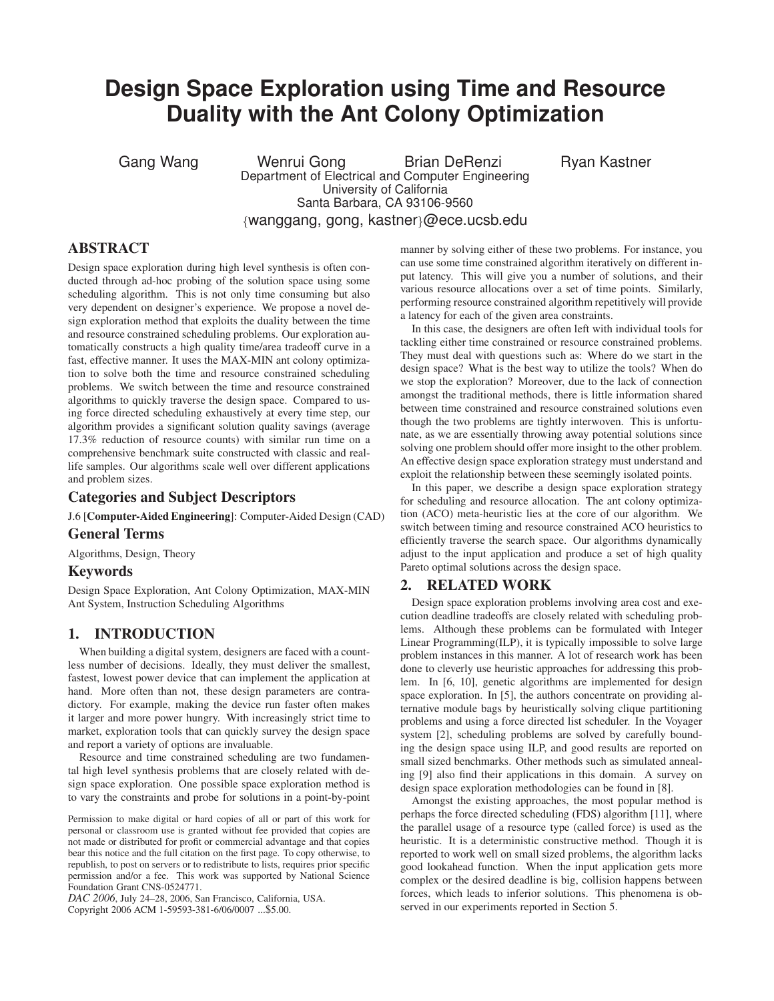# **Design Space Exploration using Time and Resource Duality with the Ant Colony Optimization**

Gang Wang Wenrui Gong Brian DeRenzi Ryan Kastner Department of Electrical and Computer Engineering University of California Santa Barbara, CA 93106-9560 {wanggang, gong, kastner}@ece.ucsb.edu

# ABSTRACT

Design space exploration during high level synthesis is often conducted through ad-hoc probing of the solution space using some scheduling algorithm. This is not only time consuming but also very dependent on designer's experience. We propose a novel design exploration method that exploits the duality between the time and resource constrained scheduling problems. Our exploration automatically constructs a high quality time/area tradeoff curve in a fast, effective manner. It uses the MAX-MIN ant colony optimization to solve both the time and resource constrained scheduling problems. We switch between the time and resource constrained algorithms to quickly traverse the design space. Compared to using force directed scheduling exhaustively at every time step, our algorithm provides a significant solution quality savings (average 17.3% reduction of resource counts) with similar run time on a comprehensive benchmark suite constructed with classic and reallife samples. Our algorithms scale well over different applications and problem sizes.

## Categories and Subject Descriptors

J.6 [Computer-Aided Engineering]: Computer-Aided Design (CAD)

# General Terms

Algorithms, Design, Theory

## **Keywords**

Design Space Exploration, Ant Colony Optimization, MAX-MIN Ant System, Instruction Scheduling Algorithms

## 1. INTRODUCTION

When building a digital system, designers are faced with a countless number of decisions. Ideally, they must deliver the smallest, fastest, lowest power device that can implement the application at hand. More often than not, these design parameters are contradictory. For example, making the device run faster often makes it larger and more power hungry. With increasingly strict time to market, exploration tools that can quickly survey the design space and report a variety of options are invaluable.

Resource and time constrained scheduling are two fundamental high level synthesis problems that are closely related with design space exploration. One possible space exploration method is to vary the constraints and probe for solutions in a point-by-point

*DAC 2006*, July 24–28, 2006, San Francisco, California, USA. Copyright 2006 ACM 1-59593-381-6/06/0007 ...\$5.00.

manner by solving either of these two problems. For instance, you can use some time constrained algorithm iteratively on different input latency. This will give you a number of solutions, and their various resource allocations over a set of time points. Similarly, performing resource constrained algorithm repetitively will provide a latency for each of the given area constraints.

In this case, the designers are often left with individual tools for tackling either time constrained or resource constrained problems. They must deal with questions such as: Where do we start in the design space? What is the best way to utilize the tools? When do we stop the exploration? Moreover, due to the lack of connection amongst the traditional methods, there is little information shared between time constrained and resource constrained solutions even though the two problems are tightly interwoven. This is unfortunate, as we are essentially throwing away potential solutions since solving one problem should offer more insight to the other problem. An effective design space exploration strategy must understand and exploit the relationship between these seemingly isolated points.

In this paper, we describe a design space exploration strategy for scheduling and resource allocation. The ant colony optimization (ACO) meta-heuristic lies at the core of our algorithm. We switch between timing and resource constrained ACO heuristics to efficiently traverse the search space. Our algorithms dynamically adjust to the input application and produce a set of high quality Pareto optimal solutions across the design space.

# 2. RELATED WORK

Design space exploration problems involving area cost and execution deadline tradeoffs are closely related with scheduling problems. Although these problems can be formulated with Integer Linear Programming(ILP), it is typically impossible to solve large problem instances in this manner. A lot of research work has been done to cleverly use heuristic approaches for addressing this problem. In [6, 10], genetic algorithms are implemented for design space exploration. In [5], the authors concentrate on providing alternative module bags by heuristically solving clique partitioning problems and using a force directed list scheduler. In the Voyager system [2], scheduling problems are solved by carefully bounding the design space using ILP, and good results are reported on small sized benchmarks. Other methods such as simulated annealing [9] also find their applications in this domain. A survey on design space exploration methodologies can be found in [8].

Amongst the existing approaches, the most popular method is perhaps the force directed scheduling (FDS) algorithm [11], where the parallel usage of a resource type (called force) is used as the heuristic. It is a deterministic constructive method. Though it is reported to work well on small sized problems, the algorithm lacks good lookahead function. When the input application gets more complex or the desired deadline is big, collision happens between forces, which leads to inferior solutions. This phenomena is observed in our experiments reported in Section 5.

Permission to make digital or hard copies of all or part of this work for personal or classroom use is granted without fee provided that copies are not made or distributed for profit or commercial advantage and that copies bear this notice and the full citation on the first page. To copy otherwise, to republish, to post on servers or to redistribute to lists, requires prior specific permission and/or a fee. This work was supported by National Science Foundation Grant CNS-0524771.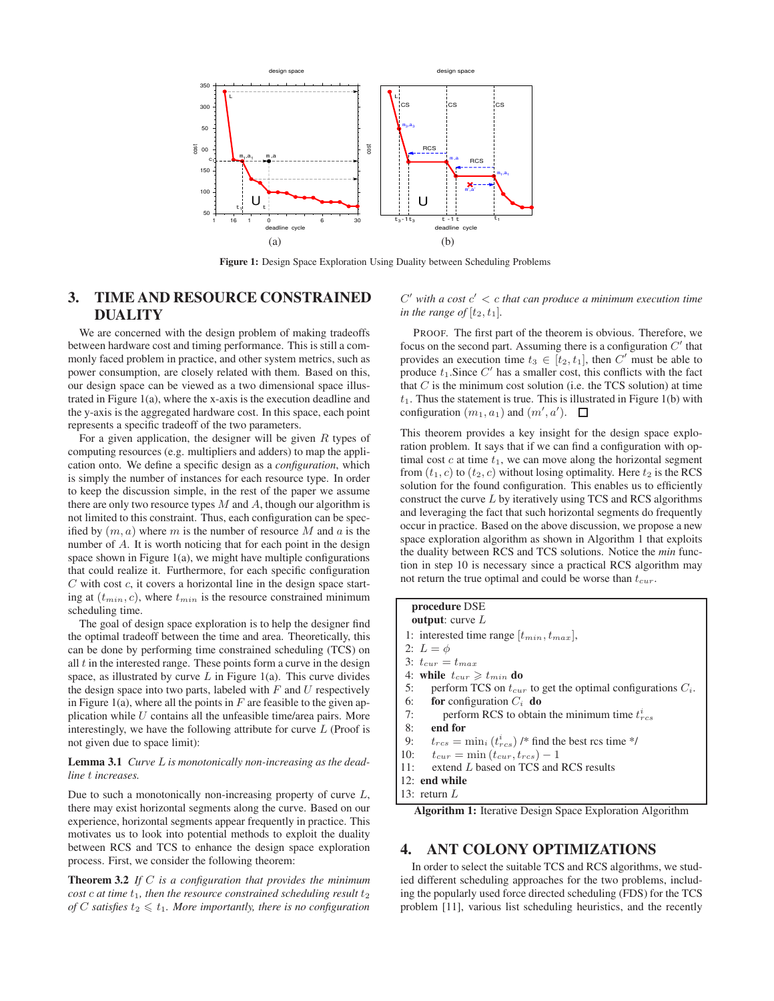

Figure 1: Design Space Exploration Using Duality between Scheduling Problems

# 3. TIME AND RESOURCE CONSTRAINED DUALITY

We are concerned with the design problem of making tradeoffs between hardware cost and timing performance. This is still a commonly faced problem in practice, and other system metrics, such as power consumption, are closely related with them. Based on this, our design space can be viewed as a two dimensional space illustrated in Figure 1(a), where the x-axis is the execution deadline and the y-axis is the aggregated hardware cost. In this space, each point represents a specific tradeoff of the two parameters.

For a given application, the designer will be given  $R$  types of computing resources (e.g. multipliers and adders) to map the application onto. We define a specific design as a *configuration*, which is simply the number of instances for each resource type. In order to keep the discussion simple, in the rest of the paper we assume there are only two resource types  $M$  and  $A$ , though our algorithm is not limited to this constraint. Thus, each configuration can be specified by  $(m, a)$  where m is the number of resource M and a is the number of A. It is worth noticing that for each point in the design space shown in Figure 1(a), we might have multiple configurations that could realize it. Furthermore, for each specific configuration  $C$  with cost  $c$ , it covers a horizontal line in the design space starting at  $(t_{min}, c)$ , where  $t_{min}$  is the resource constrained minimum scheduling time.

The goal of design space exploration is to help the designer find the optimal tradeoff between the time and area. Theoretically, this can be done by performing time constrained scheduling (TCS) on all  $t$  in the interested range. These points form a curve in the design space, as illustrated by curve  $L$  in Figure 1(a). This curve divides the design space into two parts, labeled with  $F$  and  $U$  respectively in Figure 1(a), where all the points in  $F$  are feasible to the given application while  $U$  contains all the unfeasible time/area pairs. More interestingly, we have the following attribute for curve  $L$  (Proof is not given due to space limit):

#### Lemma 3.1 *Curve* L *is monotonically non-increasing as the deadline* t *increases.*

Due to such a monotonically non-increasing property of curve  $L$ , there may exist horizontal segments along the curve. Based on our experience, horizontal segments appear frequently in practice. This motivates us to look into potential methods to exploit the duality between RCS and TCS to enhance the design space exploration process. First, we consider the following theorem:

Theorem 3.2 *If* C *is a configuration that provides the minimum cost* c at time  $t_1$ , then the resource constrained scheduling result  $t_2$ *of* C satisfies  $t_2 \leq t_1$ *. More importantly, there is no configuration* 

 $C'$  with a cost  $c' < c$  that can produce a minimum execution time *in the range of*  $[t_2, t_1]$ *.* 

PROOF. The first part of the theorem is obvious. Therefore, we focus on the second part. Assuming there is a configuration  $C'$  that provides an execution time  $t_3 \in [t_2, t_1]$ , then C' must be able to produce  $t_1$ . Since  $C'$  has a smaller cost, this conflicts with the fact that  $C$  is the minimum cost solution (i.e. the TCS solution) at time  $t_1$ . Thus the statement is true. This is illustrated in Figure 1(b) with configuration  $(m_1, a_1)$  and  $(m', a')$ .

This theorem provides a key insight for the design space exploration problem. It says that if we can find a configuration with optimal cost  $c$  at time  $t_1$ , we can move along the horizontal segment from  $(t_1, c)$  to  $(t_2, c)$  without losing optimality. Here  $t_2$  is the RCS solution for the found configuration. This enables us to efficiently construct the curve  $L$  by iteratively using TCS and RCS algorithms and leveraging the fact that such horizontal segments do frequently occur in practice. Based on the above discussion, we propose a new space exploration algorithm as shown in Algorithm 1 that exploits the duality between RCS and TCS solutions. Notice the *min* function in step 10 is necessary since a practical RCS algorithm may not return the true optimal and could be worse than t*cur*.

procedure DSE output: curve  $L$ 

- 1: interested time range [t*min*, t*max*],
- 2:  $L = \phi$
- 
- 3:  $t_{cur} = t_{max}$ <br>4: **while**  $t_{cur} \ge$ 4: while  $t_{cur} \geqslant t_{min}$  do
- 5: perform TCS on  $t_{cur}$  to get the optimal configurations  $C_i$ .<br>6: **for** configuration  $C_i$  **do**
- 6: **for** configuration  $C_i$  **do**<br>7: **perform RCS** to obtain
- 7: perform RCS to obtain the minimum time  $t_{res}^i$
- 8: end for
- 9:  $t_{res} = \min_i (t_{res}^i)$  /\* find the best rcs time \*/
- 
- 10:  $t_{cur} = \min(t_{cur}, t_{rcs}) 1$ 11: extend L based on TCS and RCS results
- 12: end while

13: return L

Algorithm 1: Iterative Design Space Exploration Algorithm

# 4. ANT COLONY OPTIMIZATIONS

In order to select the suitable TCS and RCS algorithms, we studied different scheduling approaches for the two problems, including the popularly used force directed scheduling (FDS) for the TCS problem [11], various list scheduling heuristics, and the recently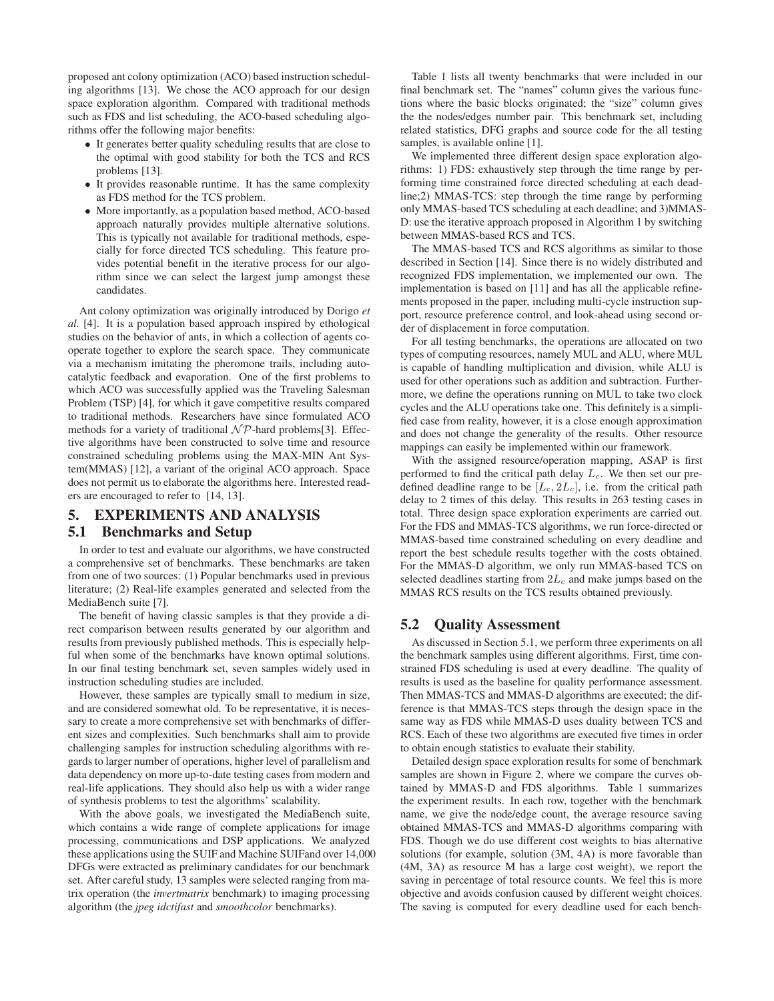proposed ant colony optimization (ACO) based instruction scheduling algorithms [13]. We chose the ACO approach for our design space exploration algorithm. Compared with traditional methods such as FDS and list scheduling, the ACO-based scheduling algorithms offer the following major benefits:

- It generates better quality scheduling results that are close to the optimal with good stability for both the TCS and RCS problems [13].
- It provides reasonable runtime. It has the same complexity as FDS method for the TCS problem.
- More importantly, as a population based method, ACO-based approach naturally provides multiple alternative solutions. This is typically not available for traditional methods, especially for force directed TCS scheduling. This feature provides potential benefit in the iterative process for our algorithm since we can select the largest jump amongst these candidates.

Ant colony optimization was originally introduced by Dorigo *et al.* [4]. It is a population based approach inspired by ethological studies on the behavior of ants, in which a collection of agents cooperate together to explore the search space. They communicate via a mechanism imitating the pheromone trails, including autocatalytic feedback and evaporation. One of the first problems to which ACO was successfully applied was the Traveling Salesman Problem (TSP) [4], for which it gave competitive results compared to traditional methods. Researchers have since formulated ACO methods for a variety of traditional  $\mathcal{NP}$ -hard problems[3]. Effective algorithms have been constructed to solve time and resource constrained scheduling problems using the MAX-MIN Ant System(MMAS) [12], a variant of the original ACO approach. Space does not permit us to elaborate the algorithms here. Interested readers are encouraged to refer to [14, 13].

# 5. EXPERIMENTS AND ANALYSIS

#### 5.1 Benchmarks and Setup

In order to test and evaluate our algorithms, we have constructed a comprehensive set of benchmarks. These benchmarks are taken from one of two sources: (1) Popular benchmarks used in previous literature; (2) Real-life examples generated and selected from the MediaBench suite [7].

The benefit of having classic samples is that they provide a direct comparison between results generated by our algorithm and results from previously published methods. This is especially helpful when some of the benchmarks have known optimal solutions. In our final testing benchmark set, seven samples widely used in instruction scheduling studies are included.

However, these samples are typically small to medium in size, and are considered somewhat old. To be representative, it is necessary to create a more comprehensive set with benchmarks of different sizes and complexities. Such benchmarks shall aim to provide challenging samples for instruction scheduling algorithms with regards to larger number of operations, higher level of parallelism and data dependency on more up-to-date testing cases from modern and real-life applications. They should also help us with a wider range of synthesis problems to test the algorithms' scalability.

With the above goals, we investigated the MediaBench suite, which contains a wide range of complete applications for image processing, communications and DSP applications. We analyzed these applications using the SUIF and Machine SUIFand over 14,000 DFGs were extracted as preliminary candidates for our benchmark set. After careful study, 13 samples were selected ranging from matrix operation (the *invertmatrix* benchmark) to imaging processing algorithm (the *jpeg idctifast* and *smoothcolor* benchmarks).

Table 1 lists all twenty benchmarks that were included in our final benchmark set. The "names" column gives the various functions where the basic blocks originated; the "size" column gives the the nodes/edges number pair. This benchmark set, including related statistics, DFG graphs and source code for the all testing samples, is available online [1].

We implemented three different design space exploration algorithms: 1) FDS: exhaustively step through the time range by performing time constrained force directed scheduling at each deadline;2) MMAS-TCS: step through the time range by performing only MMAS-based TCS scheduling at each deadline; and 3)MMAS-D: use the iterative approach proposed in Algorithm 1 by switching between MMAS-based RCS and TCS.

The MMAS-based TCS and RCS algorithms as similar to those described in Section [14]. Since there is no widely distributed and recognized FDS implementation, we implemented our own. The implementation is based on [11] and has all the applicable refinements proposed in the paper, including multi-cycle instruction support, resource preference control, and look-ahead using second order of displacement in force computation.

For all testing benchmarks, the operations are allocated on two types of computing resources, namely MUL and ALU, where MUL is capable of handling multiplication and division, while ALU is used for other operations such as addition and subtraction. Furthermore, we define the operations running on MUL to take two clock cycles and the ALU operations take one. This definitely is a simplified case from reality, however, it is a close enough approximation and does not change the generality of the results. Other resource mappings can easily be implemented within our framework.

With the assigned resource/operation mapping, ASAP is first performed to find the critical path delay L*c*. We then set our predefined deadline range to be  $[L_c, 2L_c]$ , i.e. from the critical path delay to 2 times of this delay. This results in 263 testing cases in total. Three design space exploration experiments are carried out. For the FDS and MMAS-TCS algorithms, we run force-directed or MMAS-based time constrained scheduling on every deadline and report the best schedule results together with the costs obtained. For the MMAS-D algorithm, we only run MMAS-based TCS on selected deadlines starting from 2L*<sup>c</sup>* and make jumps based on the MMAS RCS results on the TCS results obtained previously.

## 5.2 Quality Assessment

As discussed in Section 5.1, we perform three experiments on all the benchmark samples using different algorithms. First, time constrained FDS scheduling is used at every deadline. The quality of results is used as the baseline for quality performance assessment. Then MMAS-TCS and MMAS-D algorithms are executed; the difference is that MMAS-TCS steps through the design space in the same way as FDS while MMAS-D uses duality between TCS and RCS. Each of these two algorithms are executed five times in order to obtain enough statistics to evaluate their stability.

Detailed design space exploration results for some of benchmark samples are shown in Figure 2, where we compare the curves obtained by MMAS-D and FDS algorithms. Table 1 summarizes the experiment results. In each row, together with the benchmark name, we give the node/edge count, the average resource saving obtained MMAS-TCS and MMAS-D algorithms comparing with FDS. Though we do use different cost weights to bias alternative solutions (for example, solution (3M, 4A) is more favorable than (4M, 3A) as resource M has a large cost weight), we report the saving in percentage of total resource counts. We feel this is more objective and avoids confusion caused by different weight choices. The saving is computed for every deadline used for each bench